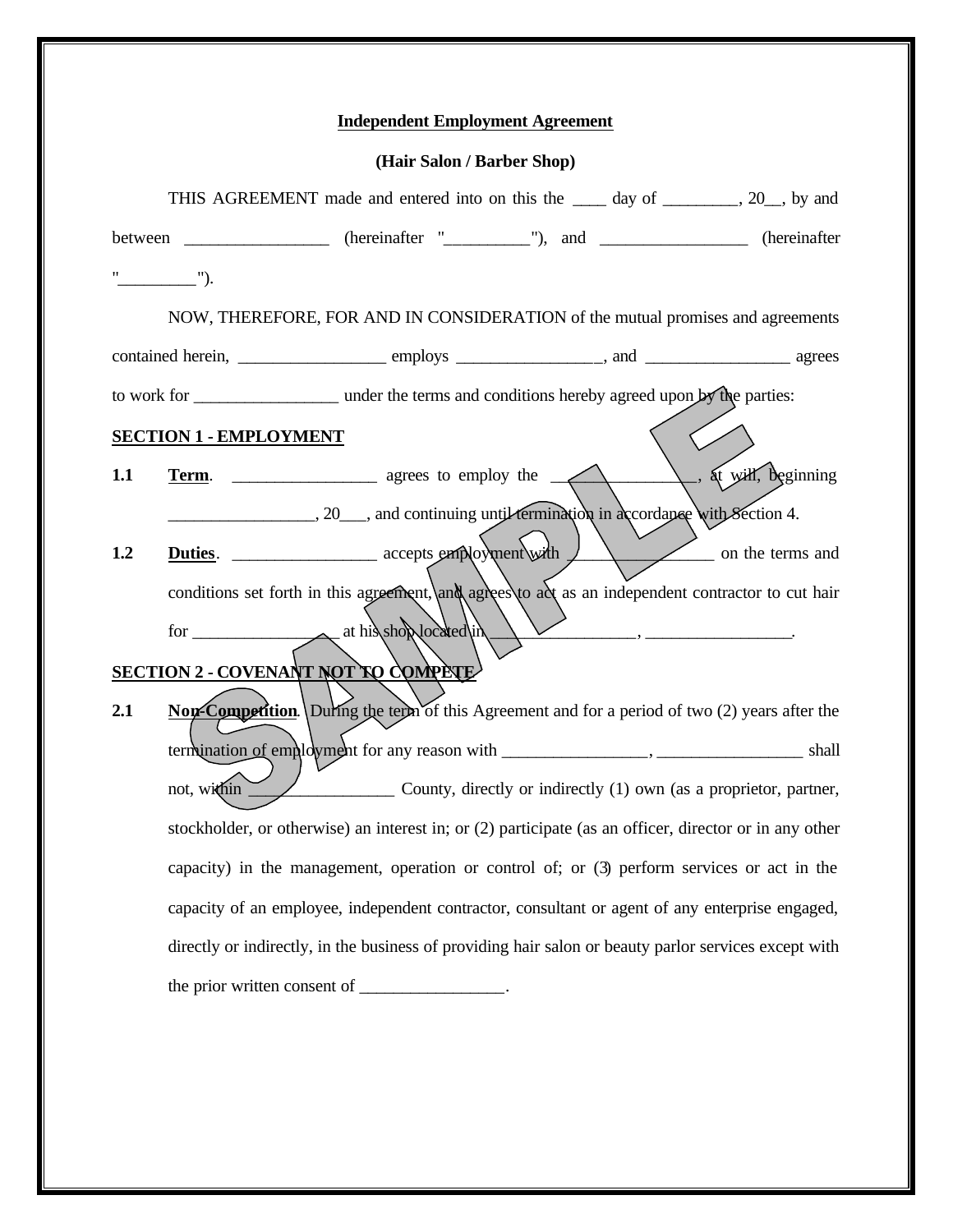| <b>Independent Employment Agreement</b> |  |  |
|-----------------------------------------|--|--|
|                                         |  |  |

| (Hair Salon / Barber Shop) |  |  |
|----------------------------|--|--|
|----------------------------|--|--|

|                                     |                               | THIS AGREEMENT made and entered into on this the _____ day of ________, 20__, by and                   |  |  |                  |
|-------------------------------------|-------------------------------|--------------------------------------------------------------------------------------------------------|--|--|------------------|
|                                     |                               | between ___________________ (hereinafter "____________"), and ___________________ (hereinafter         |  |  |                  |
|                                     | $"$ $"$ .                     |                                                                                                        |  |  |                  |
|                                     |                               | NOW, THEREFORE, FOR AND IN CONSIDERATION of the mutual promises and agreements                         |  |  |                  |
|                                     |                               |                                                                                                        |  |  |                  |
|                                     |                               |                                                                                                        |  |  |                  |
|                                     | <b>SECTION 1 - EMPLOYMENT</b> |                                                                                                        |  |  |                  |
| 1.1                                 |                               |                                                                                                        |  |  |                  |
|                                     |                               | 20 and continuing until termination in accordance with Section 4.                                      |  |  |                  |
| 1.2                                 |                               | Duties. _____________________ accepts employment with 1                                                |  |  | on the terms and |
|                                     |                               | conditions set forth in this agreement, and agrees to act as an independent contractor to cut hair     |  |  |                  |
|                                     |                               | for at his showlocated in                                                                              |  |  |                  |
| SECTION 2 - COVENANT NOT TO COMPETE |                               |                                                                                                        |  |  |                  |
| 2.1                                 |                               | Non-Competition. During the term of this Agreement and for a period of two (2) years after the         |  |  |                  |
|                                     |                               |                                                                                                        |  |  |                  |
|                                     | not, within                   | County, directly or indirectly (1) own (as a proprietor, partner,                                      |  |  |                  |
|                                     |                               | stockholder, or otherwise) an interest in; or (2) participate (as an officer, director or in any other |  |  |                  |
|                                     |                               | capacity) in the management, operation or control of; or (3) perform services or act in the            |  |  |                  |
|                                     |                               | capacity of an employee, independent contractor, consultant or agent of any enterprise engaged,        |  |  |                  |
|                                     |                               | directly or indirectly, in the business of providing hair salon or beauty parlor services except with  |  |  |                  |
|                                     |                               | the prior written consent of ___________________.                                                      |  |  |                  |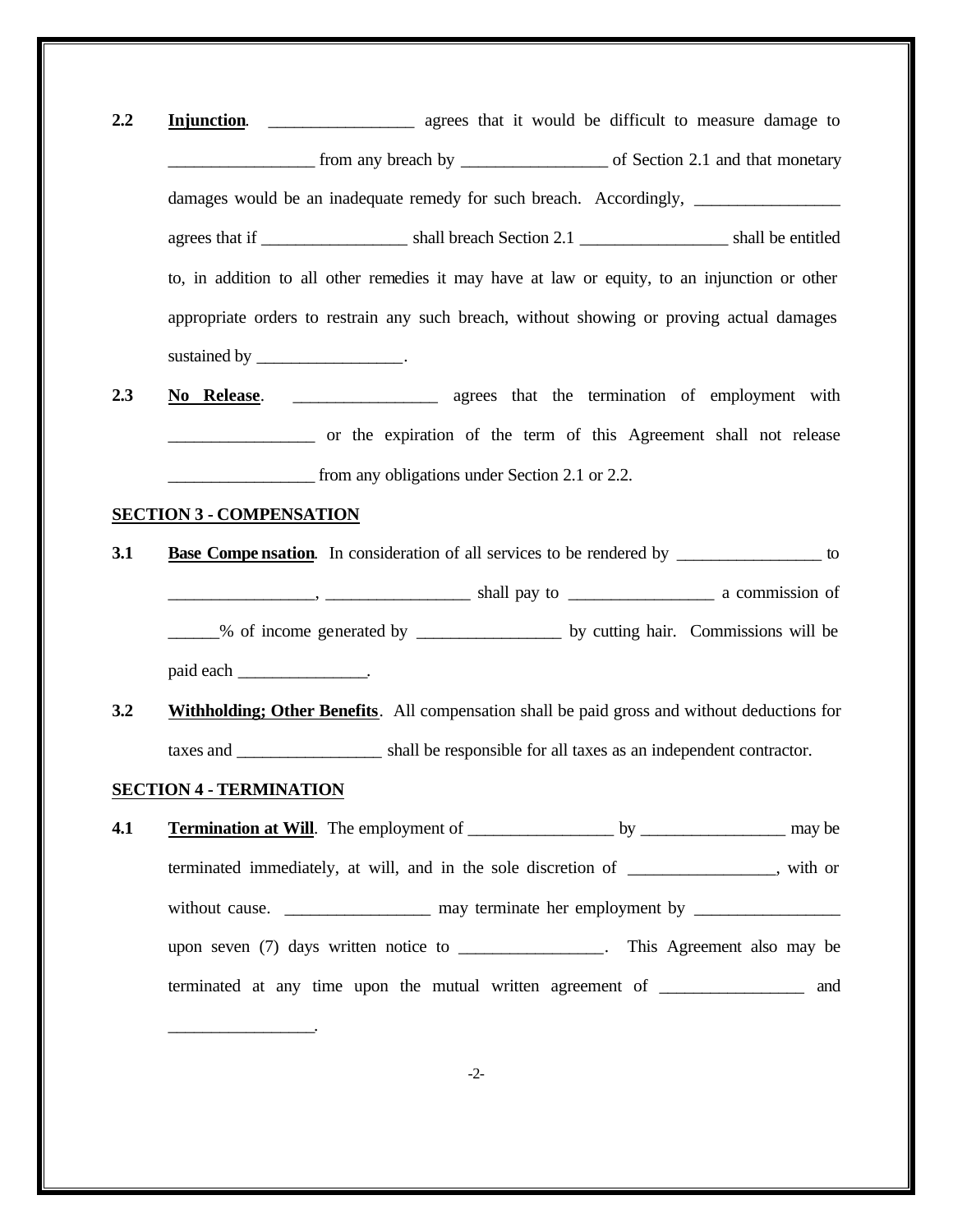| 2.2 | agrees that it would be difficult to measure damage to<br>Injunction.                                |
|-----|------------------------------------------------------------------------------------------------------|
|     |                                                                                                      |
|     | damages would be an inadequate remedy for such breach. Accordingly, _____________                    |
|     |                                                                                                      |
|     | to, in addition to all other remedies it may have at law or equity, to an injunction or other        |
|     | appropriate orders to restrain any such breach, without showing or proving actual damages            |
|     | sustained by _____________________.                                                                  |
| 2.3 |                                                                                                      |
|     | or the expiration of the term of this Agreement shall not release                                    |
|     | from any obligations under Section 2.1 or 2.2.                                                       |
|     | <b>SECTION 3 - COMPENSATION</b>                                                                      |
| 3.1 | <b>Base Compensation</b> . In consideration of all services to be rendered by _______________ to     |
|     |                                                                                                      |
|     | ______% of income generated by ___________________ by cutting hair. Commissions will be              |
|     |                                                                                                      |
| 3.2 | Withholding; Other Benefits. All compensation shall be paid gross and without deductions for         |
|     |                                                                                                      |
|     | <b>SECTION 4 - TERMINATION</b>                                                                       |
| 4.1 |                                                                                                      |
|     | terminated immediately, at will, and in the sole discretion of _____________, with or                |
|     | without cause. _______________________ may terminate her employment by _____________________________ |
|     | upon seven (7) days written notice to _______________. This Agreement also may be                    |
|     | terminated at any time upon the mutual written agreement of _______________ and                      |
|     |                                                                                                      |
|     |                                                                                                      |
|     | $-2-$                                                                                                |